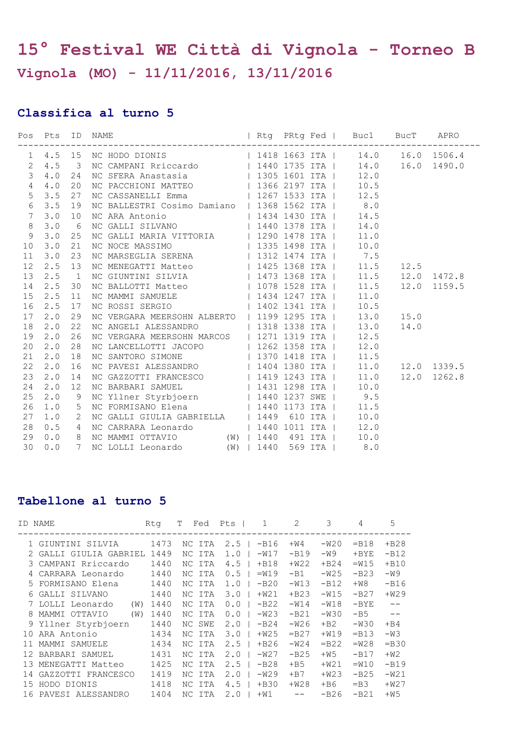## **15° Festival WE Città di Vignola - Torneo B Vignola (MO) - 11/11/2016, 13/11/2016**

## **Classifica al turno 5**

|                 |  | 1 4.5 15 NC HODO DIONIS   1418 1663 ITA   14.0 16.0 1506.4<br>2 4.5 3 NC CAMPANI Rriccardo   1440 1735 ITA   14.0 16.0 1490.0                                                                                                        |  |  |  |  |
|-----------------|--|--------------------------------------------------------------------------------------------------------------------------------------------------------------------------------------------------------------------------------------|--|--|--|--|
|                 |  |                                                                                                                                                                                                                                      |  |  |  |  |
| $\mathcal{S}$   |  | 4.0 24 NC SFERA Anastasia (1995 1601 ITA   12.0<br>4.0 20 NC PACCHIONI MATTEO (1966 2197 ITA   10.5                                                                                                                                  |  |  |  |  |
| $\overline{4}$  |  |                                                                                                                                                                                                                                      |  |  |  |  |
| 5 <sup>5</sup>  |  |                                                                                                                                                                                                                                      |  |  |  |  |
|                 |  | 6 3.5 19 NC BALLESTRI Cosimo Damiano   1368 1562 ITA   8.0                                                                                                                                                                           |  |  |  |  |
|                 |  |                                                                                                                                                                                                                                      |  |  |  |  |
|                 |  |                                                                                                                                                                                                                                      |  |  |  |  |
| $\mathcal{G}$   |  | 3.0 25 NC GALLI MARIA VITTORIA   1290 1478 ITA   11.0<br>3.0 21 NC NOCE MASSIMO   1335 1498 ITA   10.0<br>3.0 23 NC MARSEGLIA SERENA   1312 1474 ITA   7.5                                                                           |  |  |  |  |
| 10              |  |                                                                                                                                                                                                                                      |  |  |  |  |
| 11              |  |                                                                                                                                                                                                                                      |  |  |  |  |
| 12              |  | 2.5 13 NC MENEGATTI Matteo $\vert$ 1425 1368 ITA $\vert$ 11.5 12.5                                                                                                                                                                   |  |  |  |  |
| 13 <sup>°</sup> |  | 2.5 1 NC GIUNTINI SILVIA   1473 1368 ITA   11.5 12.0 1472.8                                                                                                                                                                          |  |  |  |  |
| 14              |  | 2.5 30 NC BALLOTTI Matteo $\vert$ 1078 1528 ITA $\vert$ 11.5 12.0 1159.5                                                                                                                                                             |  |  |  |  |
| 15              |  | 2.5 11 NC MAMMI SAMUELE   1434 1247 ITA   11.0<br>2.5 17 NC ROSSI SERGIO   1402 1341 ITA   10.5                                                                                                                                      |  |  |  |  |
| 16              |  |                                                                                                                                                                                                                                      |  |  |  |  |
|                 |  | 17 2.0 29 NC VERGARA MEERSOHN ALBERTO   1199 1295 ITA   13.0 15.0                                                                                                                                                                    |  |  |  |  |
| 18              |  | 2.0 22 NC ANGELI ALESSANDRO   1318 1338 ITA   13.0 14.0<br>2.0 26 NC VERGARA MEERSOHN MARCOS   1271 1319 ITA   12.5                                                                                                                  |  |  |  |  |
| 19              |  |                                                                                                                                                                                                                                      |  |  |  |  |
| 20              |  |                                                                                                                                                                                                                                      |  |  |  |  |
| 21              |  | 2.0 28 NC LANCELLOTTI JACOPO   1271 1313 111   12.3<br>2.0 18 NC SANTORO SIMONE   1370 1418 ITA   11.5<br>2.0 16 NC PAVESI ALESSANDRO   1404 1380 ITA   11.0 12.0 1339.5<br>2.0 14 NC GAZZOTTI FRANCESCO   1419 1243 ITA   11.0 12.0 |  |  |  |  |
| 22              |  |                                                                                                                                                                                                                                      |  |  |  |  |
| 23              |  |                                                                                                                                                                                                                                      |  |  |  |  |
| 24              |  |                                                                                                                                                                                                                                      |  |  |  |  |
| 25              |  |                                                                                                                                                                                                                                      |  |  |  |  |
| 26              |  | 1.0 5 NC FORMISANO Elena (1440 1173 ITA   11.5                                                                                                                                                                                       |  |  |  |  |
| 27              |  | 1.0 2 NC GALLI GIULIA GABRIELLA   1449 610 ITA   10.0<br>0.5 4 NC CARRARA Leonardo   1440 1011 ITA   12.0                                                                                                                            |  |  |  |  |
| 28              |  |                                                                                                                                                                                                                                      |  |  |  |  |
| 29              |  | 0.0 8 NC MAMMI OTTAVIO (W)   1440 491 ITA   10.0                                                                                                                                                                                     |  |  |  |  |
|                 |  | 30 0.0 7 NC LOLLI Leonardo (W)   1440 569 ITA   8.0                                                                                                                                                                                  |  |  |  |  |

## **Tabellone al turno 5**

| ID  | NAME                    | Rta  | Fed<br>T   | Pts I | 1      | 2                 | 3       | 4       | 5       |
|-----|-------------------------|------|------------|-------|--------|-------------------|---------|---------|---------|
|     | 1 GIUNTINI SILVIA       | 1473 | NC ITA     | 2.5   | $-B16$ | $+W4$             | $-W20$  | $=$ B18 | $+B28$  |
|     | 2 GALLI GIULIA GABRIEL  | 1449 | NC ITA     | 1.0   | $-W17$ | $-B19$            | -W9     | $+$ BYE | $-B12$  |
|     | 3 CAMPANI Rriccardo     | 1440 | NC ITA     | 4.5   | $+B18$ | $+W22$            | $+B24$  | $=W15$  | $+B10$  |
|     | CARRARA Leonardo        | 1440 | NC ITA     | 0.5   | $=W19$ | $-B1$             | $-W25$  | $-B23$  | -W9     |
|     | 5 FORMISANO Elena       | 1440 | NC ITA     | 1.0   | $-B20$ | $-W13$            | $-B12$  | $+W8$   | $-B16$  |
|     | 6 GALLI SILVANO         | 1440 | NC ITA     | 3.0   | $+W21$ | $+B23$            | $-W15$  | $-B27$  | $+W29$  |
|     | 7 LOLLI Leonardo<br>(W) | 1440 | NC ITA     | 0.0   | $-B22$ | $-W14$            | $-W18$  | $-BYE$  | $ -$    |
| 8   | MAMMI OTTAVIO<br>(W)    | 1440 | NC ITA     | 0.0   | $-W23$ | $-B21$            | -W30    | $-B5$   |         |
|     | 9 Yllner Styrbjoern     | 1440 | NC SWE     | 2.0   | $-B24$ | -W26              | $+B2$   | $-W30$  | $+B4$   |
| 10  | ARA Antonio             | 1434 | NC<br>ITA  | 3.0   | $+W25$ | $-B27$            | $+W19$  | $=$ B13 | $-W3$   |
|     | MAMMI SAMUELE           | 1434 | NC<br>ITA  | 2.5   | $+B26$ | $-W24$            | $=$ B22 | $=W28$  | $=$ B30 |
| 12  | BARBARI SAMUEL          | 1431 | ITA<br>NC. | 2.0   | $-W27$ | $-B25$            | $+W5$   | $-B17$  | $+W2$   |
| 1.3 | MENEGATTI Matteo        | 1425 | NC ITA     | 2.5   | $-B28$ | $+B5$             | $+W21$  | $=W10$  | $-B19$  |
| 14  | GAZZOTTI FRANCESCO      | 1419 | NC ITA     | 2.0   | $-W29$ | $+ B7$            | $+W23$  | $-B25$  | $-W21$  |
|     | 15 HODO DIONIS          | 1418 | NC ITA     | 4.5   | $+B30$ | $+W28$            | $+ B6$  | $=$ B3  | $+W27$  |
|     | 16 PAVESI ALESSANDRO    | 1404 | NC ITA     | 2.0   | $+W1$  | $\qquad \qquad -$ | $-B26$  | $-B21$  | $+W5$   |